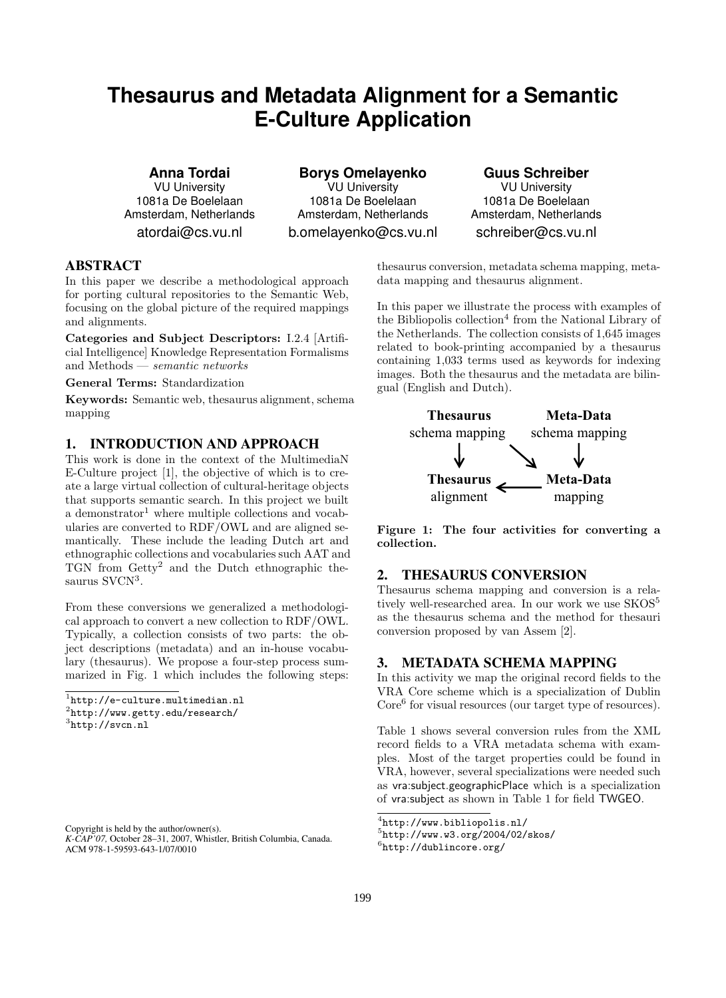## **Thesaurus and Metadata Alignment for a Semantic E-Culture Application**

**Anna Tordai** VU University 1081a De Boelelaan Amsterdam, Netherlands atordai@cs.vu.nl

**Borys Omelayenko** VU University 1081a De Boelelaan Amsterdam, Netherlands b.omelayenko@cs.vu.nl

**Guus Schreiber** VU University 1081a De Boelelaan Amsterdam, Netherlands schreiber@cs.vu.nl

## ABSTRACT

In this paper we describe a methodological approach for porting cultural repositories to the Semantic Web, focusing on the global picture of the required mappings and alignments.

**Categories and Subject Descriptors:** I.2.4 [Artificial Intelligence] Knowledge Representation Formalisms and Methods — *semantic networks*

**General Terms:** Standardization

**Keywords:** Semantic web, thesaurus alignment, schema mapping

#### 1. INTRODUCTION AND APPROACH

This work is done in the context of the MultimediaN E-Culture project [1], the objective of which is to create a large virtual collection of cultural-heritage objects that supports semantic search. In this project we built a demonstrator<sup>1</sup> where multiple collections and vocabularies are converted to RDF/OWL and are aligned semantically. These include the leading Dutch art and ethnographic collections and vocabularies such AAT and TGN from Getty<sup>2</sup> and the Dutch ethnographic thesaurus SVCN<sup>3</sup>.

From these conversions we generalized a methodological approach to convert a new collection to RDF/OWL. Typically, a collection consists of two parts: the object descriptions (metadata) and an in-house vocabulary (thesaurus). We propose a four-step process summarized in Fig. 1 which includes the following steps:

 $1$ http://e-culture.multimedian.nl

<sup>2</sup>http://www.getty.edu/research/

Copyright is held by the author/owner(s).

*K-CAP'07,* October 28–31, 2007, Whistler, British Columbia, Canada. ACM 978-1-59593-643-1/07/0010

thesaurus conversion, metadata schema mapping, metadata mapping and thesaurus alignment.

In this paper we illustrate the process with examples of the Bibliopolis collection<sup>4</sup> from the National Library of the Netherlands. The collection consists of 1,645 images related to book-printing accompanied by a thesaurus containing 1,033 terms used as keywords for indexing images. Both the thesaurus and the metadata are bilingual (English and Dutch).



**Figure 1: The four activities for converting a collection.**

#### 2. THESAURUS CONVERSION

Thesaurus schema mapping and conversion is a relatively well-researched area. In our work we use SKOS<sup>5</sup> as the thesaurus schema and the method for thesauri conversion proposed by van Assem [2].

#### 3. METADATA SCHEMA MAPPING

In this activity we map the original record fields to the VRA Core scheme which is a specialization of Dublin Core<sup>6</sup> for visual resources (our target type of resources).

Table 1 shows several conversion rules from the XML record fields to a VRA metadata schema with examples. Most of the target properties could be found in VRA, however, several specializations were needed such as vra:subject.geographicPlace which is a specialization of vra:subject as shown in Table 1 for field TWGEO.

<sup>3</sup>http://svcn.nl

 $^{4}$ http://www.bibliopolis.nl/

 $5$ http://www.w3.org/2004/02/skos/

 $6$ http://dublincore.org/